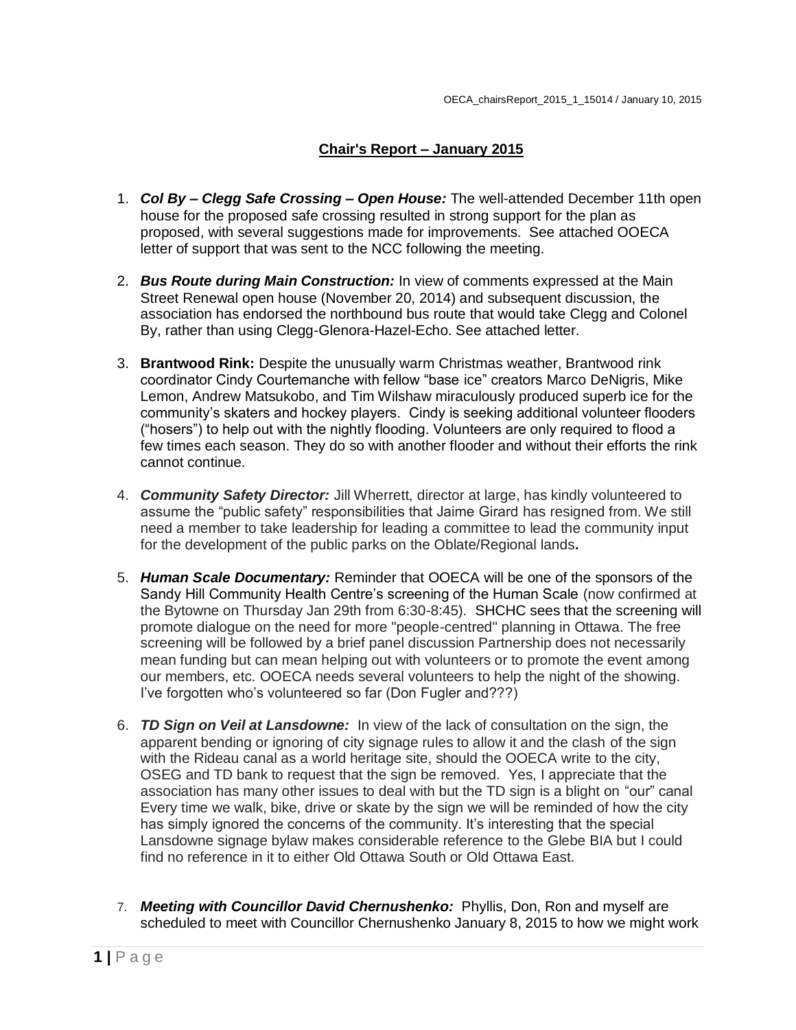## **Chair's Report – January 2015**

- 1. *Col By – Clegg Safe Crossing – Open House:* The well-attended December 11th open house for the proposed safe crossing resulted in strong support for the plan as proposed, with several suggestions made for improvements. See attached OOECA letter of support that was sent to the NCC following the meeting.
- 2. *Bus Route during Main Construction:* In view of comments expressed at the Main Street Renewal open house (November 20, 2014) and subsequent discussion, the association has endorsed the northbound bus route that would take Clegg and Colonel By, rather than using Clegg-Glenora-Hazel-Echo. See attached letter.
- 3. **Brantwood Rink:** Despite the unusually warm Christmas weather, Brantwood rink coordinator Cindy Courtemanche with fellow "base ice" creators Marco DeNigris, Mike Lemon, Andrew Matsukobo, and Tim Wilshaw miraculously produced superb ice for the community's skaters and hockey players. Cindy is seeking additional volunteer flooders ("hosers") to help out with the nightly flooding. Volunteers are only required to flood a few times each season. They do so with another flooder and without their efforts the rink cannot continue.
- 4. *Community Safety Director:* Jill Wherrett, director at large, has kindly volunteered to assume the "public safety" responsibilities that Jaime Girard has resigned from. We still need a member to take leadership for leading a committee to lead the community input for the development of the public parks on the Oblate/Regional lands*.*
- 5. *Human Scale Documentary:* Reminder that OOECA will be one of the sponsors of the Sandy Hill Community Health Centre's screening of the Human Scale (now confirmed at the Bytowne on Thursday Jan 29th from 6:30-8:45). SHCHC sees that the screening will promote dialogue on the need for more "people-centred" planning in Ottawa. The free screening will be followed by a brief panel discussion Partnership does not necessarily mean funding but can mean helping out with volunteers or to promote the event among our members, etc. OOECA needs several volunteers to help the night of the showing. I've forgotten who's volunteered so far (Don Fugler and???)
- 6. *TD Sign on Veil at Lansdowne:* In view of the lack of consultation on the sign, the apparent bending or ignoring of city signage rules to allow it and the clash of the sign with the Rideau canal as a world heritage site, should the OOECA write to the city, OSEG and TD bank to request that the sign be removed. Yes, I appreciate that the association has many other issues to deal with but the TD sign is a blight on "our" canal Every time we walk, bike, drive or skate by the sign we will be reminded of how the city has simply ignored the concerns of the community. It's interesting that the special Lansdowne signage bylaw makes considerable reference to the Glebe BIA but I could find no reference in it to either Old Ottawa South or Old Ottawa East.
- 7. *Meeting with Councillor David Chernushenko:* Phyllis, Don, Ron and myself are scheduled to meet with Councillor Chernushenko January 8, 2015 to how we might work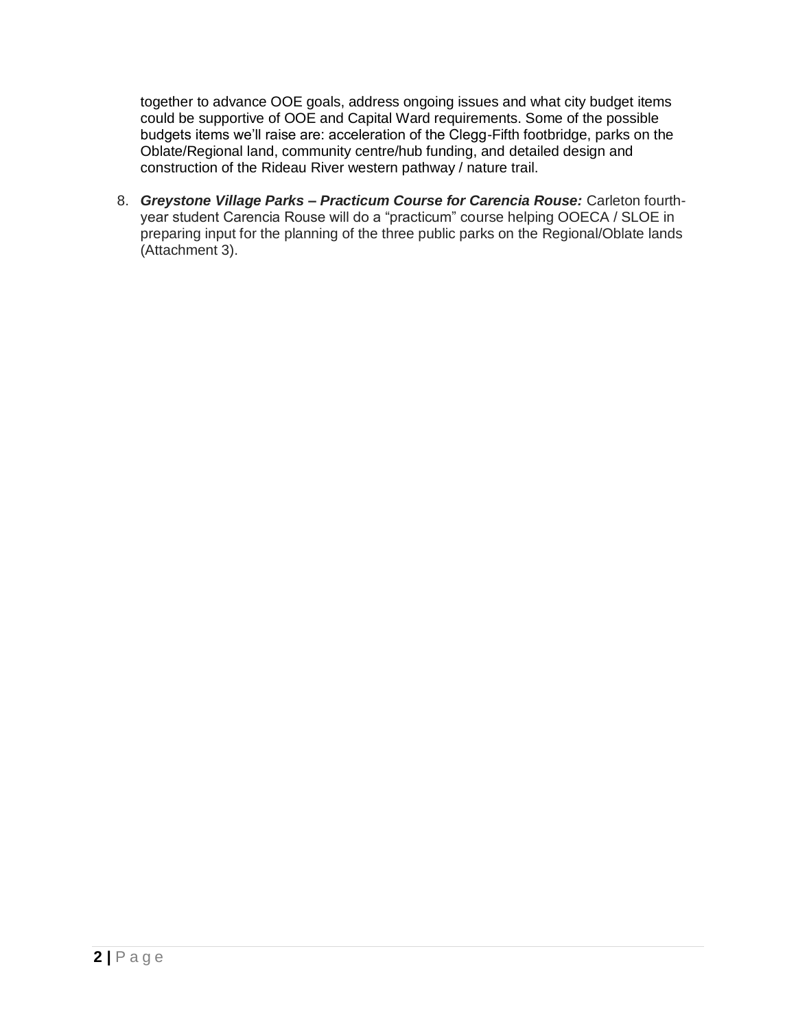together to advance OOE goals, address ongoing issues and what city budget items could be supportive of OOE and Capital Ward requirements. Some of the possible budgets items we'll raise are: acceleration of the Clegg-Fifth footbridge, parks on the Oblate/Regional land, community centre/hub funding, and detailed design and construction of the Rideau River western pathway / nature trail.

8. *Greystone Village Parks – Practicum Course for Carencia Rouse:* Carleton fourthyear student Carencia Rouse will do a "practicum" course helping OOECA / SLOE in preparing input for the planning of the three public parks on the Regional/Oblate lands (Attachment 3).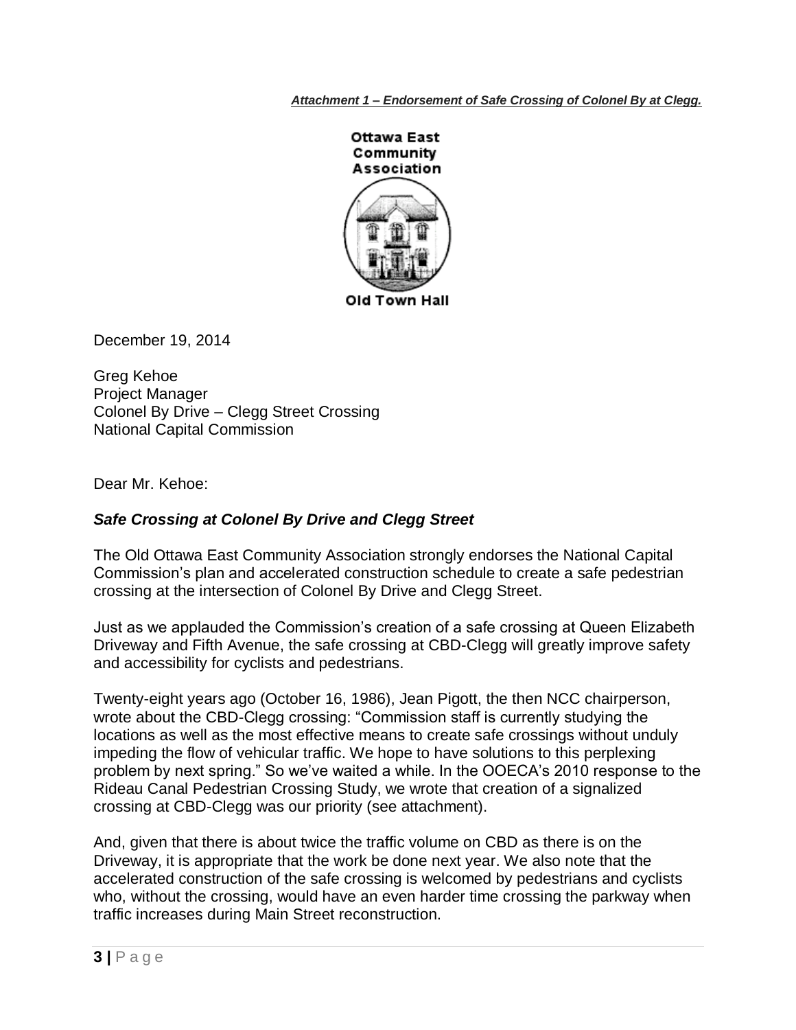*Attachment 1 – Endorsement of Safe Crossing of Colonel By at Clegg.*



December 19, 2014

Greg Kehoe Project Manager Colonel By Drive – Clegg Street Crossing National Capital Commission

Dear Mr. Kehoe:

## *Safe Crossing at Colonel By Drive and Clegg Street*

The Old Ottawa East Community Association strongly endorses the National Capital Commission's plan and accelerated construction schedule to create a safe pedestrian crossing at the intersection of Colonel By Drive and Clegg Street.

Just as we applauded the Commission's creation of a safe crossing at Queen Elizabeth Driveway and Fifth Avenue, the safe crossing at CBD-Clegg will greatly improve safety and accessibility for cyclists and pedestrians.

Twenty-eight years ago (October 16, 1986), Jean Pigott, the then NCC chairperson, wrote about the CBD-Clegg crossing: "Commission staff is currently studying the locations as well as the most effective means to create safe crossings without unduly impeding the flow of vehicular traffic. We hope to have solutions to this perplexing problem by next spring." So we've waited a while. In the OOECA's 2010 response to the Rideau Canal Pedestrian Crossing Study, we wrote that creation of a signalized crossing at CBD-Clegg was our priority (see attachment).

And, given that there is about twice the traffic volume on CBD as there is on the Driveway, it is appropriate that the work be done next year. We also note that the accelerated construction of the safe crossing is welcomed by pedestrians and cyclists who, without the crossing, would have an even harder time crossing the parkway when traffic increases during Main Street reconstruction.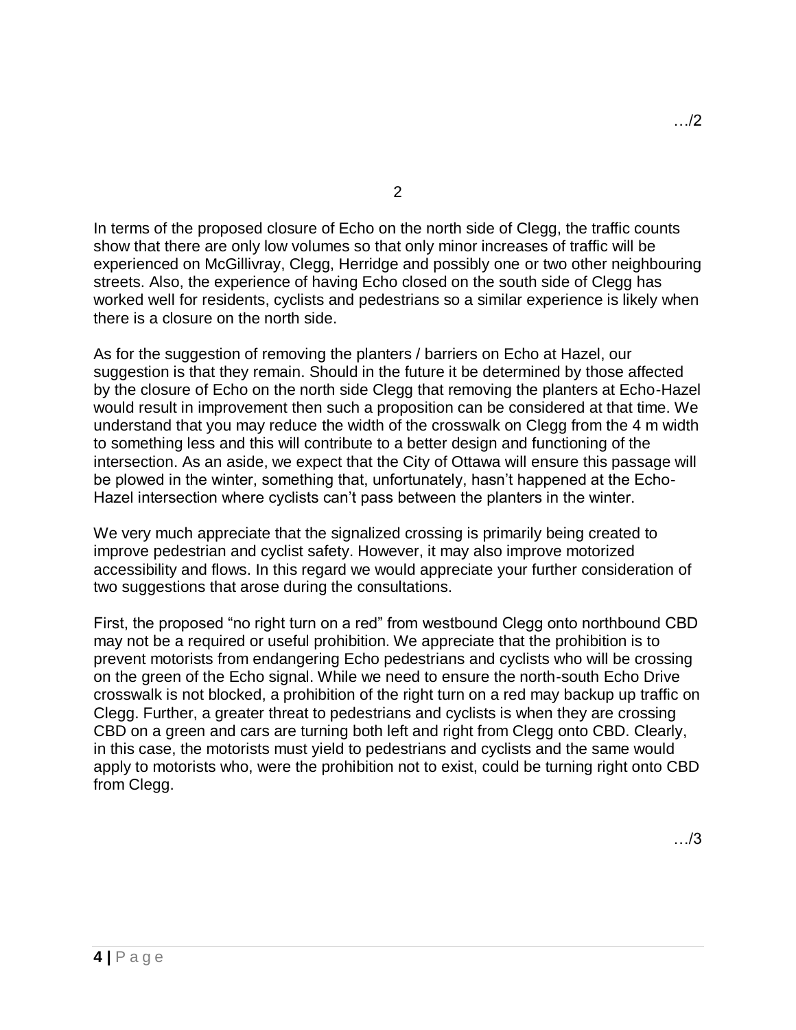2

In terms of the proposed closure of Echo on the north side of Clegg, the traffic counts show that there are only low volumes so that only minor increases of traffic will be experienced on McGillivray, Clegg, Herridge and possibly one or two other neighbouring streets. Also, the experience of having Echo closed on the south side of Clegg has worked well for residents, cyclists and pedestrians so a similar experience is likely when there is a closure on the north side.

As for the suggestion of removing the planters / barriers on Echo at Hazel, our suggestion is that they remain. Should in the future it be determined by those affected by the closure of Echo on the north side Clegg that removing the planters at Echo-Hazel would result in improvement then such a proposition can be considered at that time. We understand that you may reduce the width of the crosswalk on Clegg from the 4 m width to something less and this will contribute to a better design and functioning of the intersection. As an aside, we expect that the City of Ottawa will ensure this passage will be plowed in the winter, something that, unfortunately, hasn't happened at the Echo-Hazel intersection where cyclists can't pass between the planters in the winter.

We very much appreciate that the signalized crossing is primarily being created to improve pedestrian and cyclist safety. However, it may also improve motorized accessibility and flows. In this regard we would appreciate your further consideration of two suggestions that arose during the consultations.

First, the proposed "no right turn on a red" from westbound Clegg onto northbound CBD may not be a required or useful prohibition. We appreciate that the prohibition is to prevent motorists from endangering Echo pedestrians and cyclists who will be crossing on the green of the Echo signal. While we need to ensure the north-south Echo Drive crosswalk is not blocked, a prohibition of the right turn on a red may backup up traffic on Clegg. Further, a greater threat to pedestrians and cyclists is when they are crossing CBD on a green and cars are turning both left and right from Clegg onto CBD. Clearly, in this case, the motorists must yield to pedestrians and cyclists and the same would apply to motorists who, were the prohibition not to exist, could be turning right onto CBD from Clegg.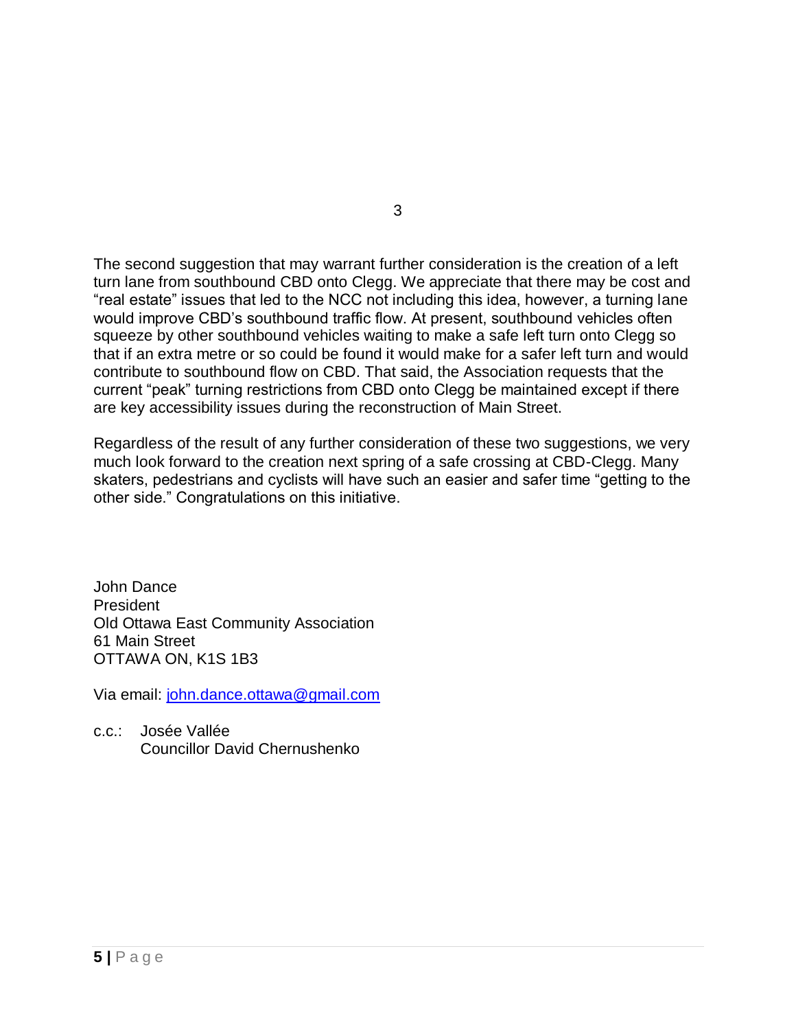The second suggestion that may warrant further consideration is the creation of a left turn lane from southbound CBD onto Clegg. We appreciate that there may be cost and "real estate" issues that led to the NCC not including this idea, however, a turning lane would improve CBD's southbound traffic flow. At present, southbound vehicles often squeeze by other southbound vehicles waiting to make a safe left turn onto Clegg so that if an extra metre or so could be found it would make for a safer left turn and would contribute to southbound flow on CBD. That said, the Association requests that the current "peak" turning restrictions from CBD onto Clegg be maintained except if there are key accessibility issues during the reconstruction of Main Street.

Regardless of the result of any further consideration of these two suggestions, we very much look forward to the creation next spring of a safe crossing at CBD-Clegg. Many skaters, pedestrians and cyclists will have such an easier and safer time "getting to the other side." Congratulations on this initiative.

John Dance President Old Ottawa East Community Association 61 Main Street OTTAWA ON, K1S 1B3

Via email: [john.dance.ottawa@gmail.com](mailto:john.dance.ottawa@gmail.com)

c.c.: Josée Vallée Councillor David Chernushenko 3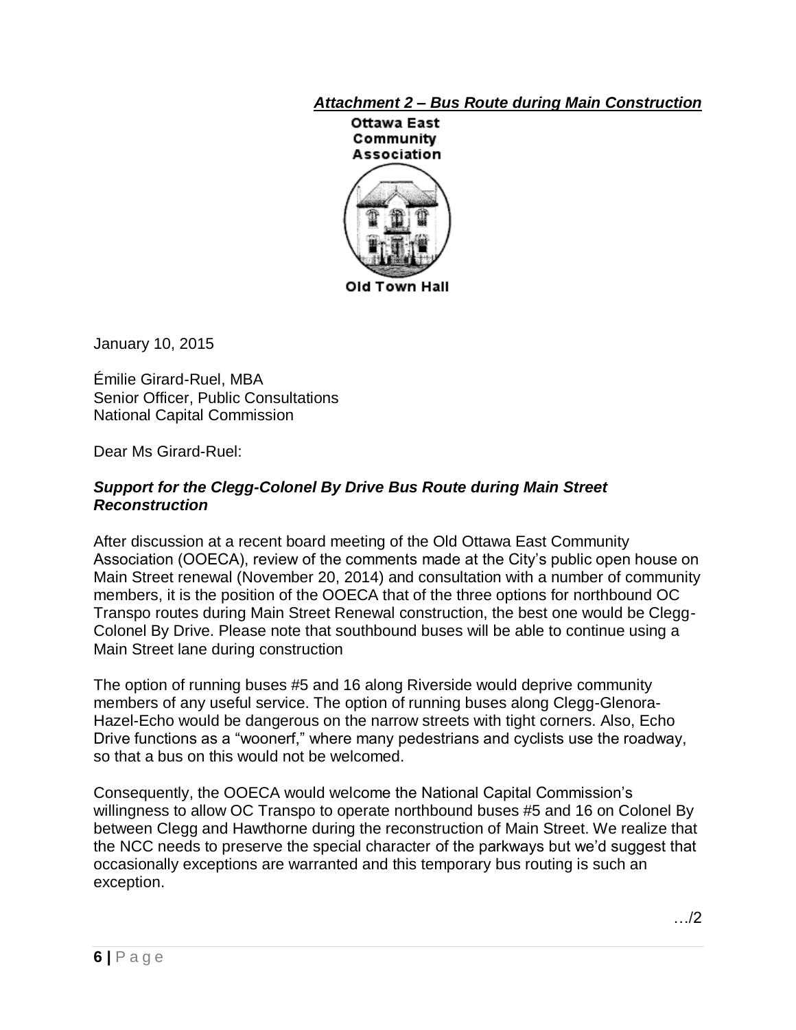# *Attachment 2 – Bus Route during Main Construction*



Old Town Hall

January 10, 2015

Émilie Girard-Ruel, MBA Senior Officer, Public Consultations National Capital Commission

Dear Ms Girard-Ruel:

## *Support for the Clegg-Colonel By Drive Bus Route during Main Street Reconstruction*

After discussion at a recent board meeting of the Old Ottawa East Community Association (OOECA), review of the comments made at the City's public open house on Main Street renewal (November 20, 2014) and consultation with a number of community members, it is the position of the OOECA that of the three options for northbound OC Transpo routes during Main Street Renewal construction, the best one would be Clegg-Colonel By Drive. Please note that southbound buses will be able to continue using a Main Street lane during construction

The option of running buses #5 and 16 along Riverside would deprive community members of any useful service. The option of running buses along Clegg-Glenora-Hazel-Echo would be dangerous on the narrow streets with tight corners. Also, Echo Drive functions as a "woonerf," where many pedestrians and cyclists use the roadway, so that a bus on this would not be welcomed.

Consequently, the OOECA would welcome the National Capital Commission's willingness to allow OC Transpo to operate northbound buses #5 and 16 on Colonel By between Clegg and Hawthorne during the reconstruction of Main Street. We realize that the NCC needs to preserve the special character of the parkways but we'd suggest that occasionally exceptions are warranted and this temporary bus routing is such an exception.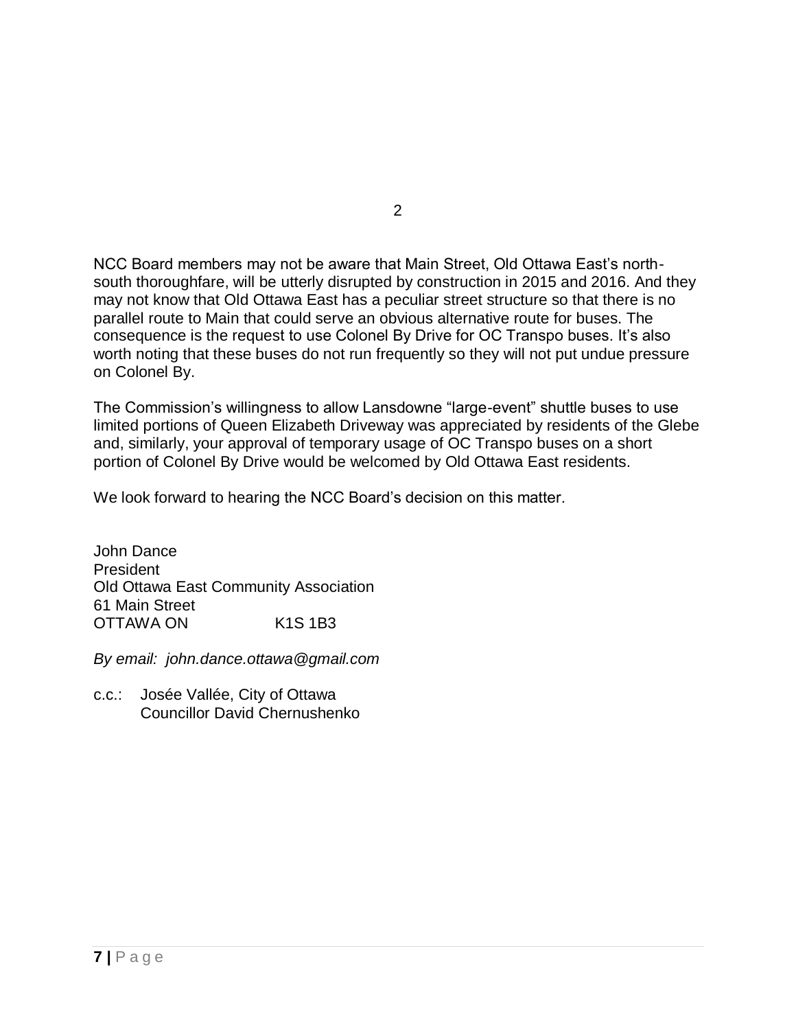NCC Board members may not be aware that Main Street, Old Ottawa East's northsouth thoroughfare, will be utterly disrupted by construction in 2015 and 2016. And they may not know that Old Ottawa East has a peculiar street structure so that there is no parallel route to Main that could serve an obvious alternative route for buses. The consequence is the request to use Colonel By Drive for OC Transpo buses. It's also worth noting that these buses do not run frequently so they will not put undue pressure on Colonel By.

The Commission's willingness to allow Lansdowne "large-event" shuttle buses to use limited portions of Queen Elizabeth Driveway was appreciated by residents of the Glebe and, similarly, your approval of temporary usage of OC Transpo buses on a short portion of Colonel By Drive would be welcomed by Old Ottawa East residents.

We look forward to hearing the NCC Board's decision on this matter.

John Dance **President** Old Ottawa East Community Association 61 Main Street OTTAWA ON K1S 1B3

*By email: john.dance.ottawa@gmail.com*

c.c.: Josée Vallée, City of Ottawa Councillor David Chernushenko 2